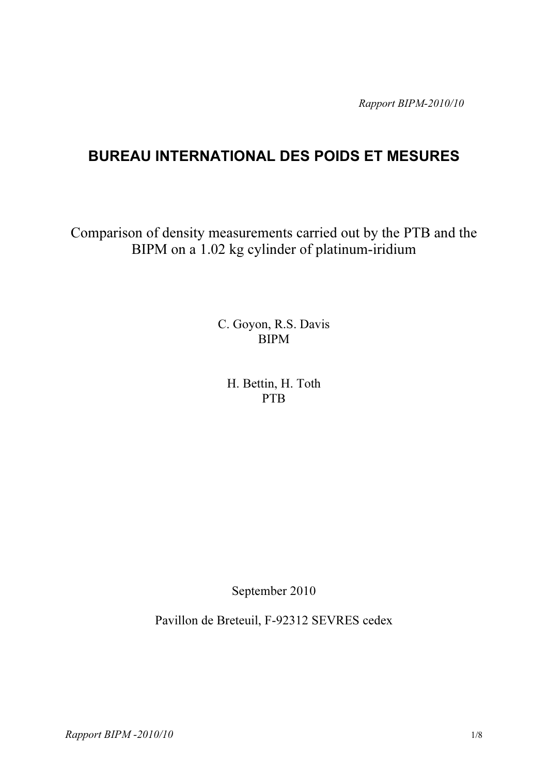Rapport BIPM-2010/10

# BUREAU INTERNATIONAL DES POIDS ET MESURES

Comparison of density measurements carried out by the PTB and the BIPM on a 1.02 kg cylinder of platinum-iridium

> C. Goyon, R.S. Davis BIPM

H. Bettin, H. Toth PTB

September 2010

Pavillon de Breteuil, F-92312 SEVRES cedex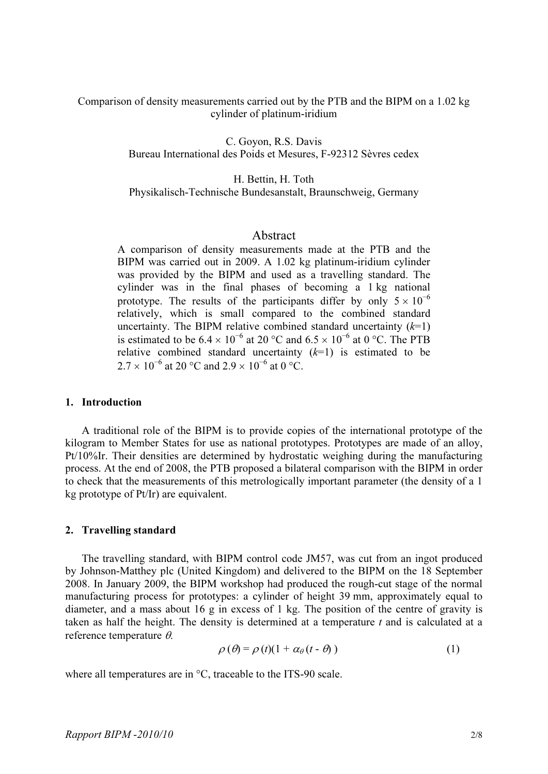Comparison of density measurements carried out by the PTB and the BIPM on a 1.02 kg cylinder of platinum-iridium

> C. Goyon, R.S. Davis Bureau International des Poids et Mesures, F-92312 Sèvres cedex

> H. Bettin, H. Toth Physikalisch-Technische Bundesanstalt, Braunschweig, Germany

# Abstract

A comparison of density measurements made at the PTB and the BIPM was carried out in 2009. A 1.02 kg platinum-iridium cylinder was provided by the BIPM and used as a travelling standard. The cylinder was in the final phases of becoming a 1 kg national prototype. The results of the participants differ by only  $5 \times 10^{-6}$ relatively, which is small compared to the combined standard uncertainty. The BIPM relative combined standard uncertainty  $(k=1)$ is estimated to be  $6.4 \times 10^{-6}$  at 20 °C and  $6.5 \times 10^{-6}$  at 0 °C. The PTB relative combined standard uncertainty  $(k=1)$  is estimated to be  $2.7 \times 10^{-6}$  at 20 °C and  $2.9 \times 10^{-6}$  at 0 °C.

#### 1. Introduction

A traditional role of the BIPM is to provide copies of the international prototype of the kilogram to Member States for use as national prototypes. Prototypes are made of an alloy, Pt/10%Ir. Their densities are determined by hydrostatic weighing during the manufacturing process. At the end of 2008, the PTB proposed a bilateral comparison with the BIPM in order to check that the measurements of this metrologically important parameter (the density of a 1 kg prototype of Pt/Ir) are equivalent.

#### 2. Travelling standard

The travelling standard, with BIPM control code JM57, was cut from an ingot produced by Johnson-Matthey plc (United Kingdom) and delivered to the BIPM on the 18 September 2008. In January 2009, the BIPM workshop had produced the rough-cut stage of the normal manufacturing process for prototypes: a cylinder of height 39 mm, approximately equal to diameter, and a mass about 16 g in excess of 1 kg. The position of the centre of gravity is taken as half the height. The density is determined at a temperature  $t$  and is calculated at a reference temperature θ.

$$
\rho(\theta) = \rho(t)(1 + \alpha_{\theta}(t - \theta))
$$
\n(1)

where all temperatures are in  $\mathrm{C}$ , traceable to the ITS-90 scale.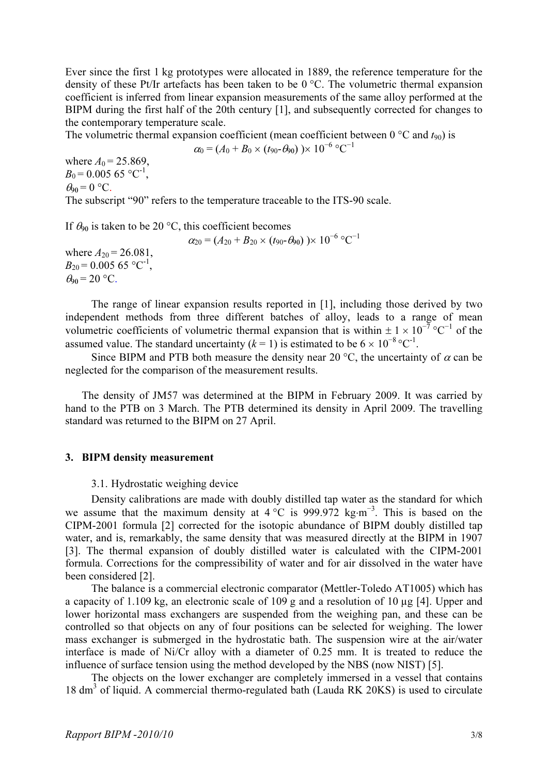Ever since the first 1 kg prototypes were allocated in 1889, the reference temperature for the density of these Pt/Ir artefacts has been taken to be 0 °C. The volumetric thermal expansion coefficient is inferred from linear expansion measurements of the same alloy performed at the BIPM during the first half of the 20th century [1], and subsequently corrected for changes to the contemporary temperature scale.

The volumetric thermal expansion coefficient (mean coefficient between  $0^{\circ}$ C and  $t_{90}$ ) is

$$
\alpha_0 = (A_0 + B_0 \times (t_{90} - \theta_{90})) \times 10^{-6} \text{ °C}^{-1}
$$

where  $A_0 = 25.869$ ,  $B_0 = 0.005$  65 °C<sup>-1</sup>,  $\theta_{90} = 0$  °C. The subscript "90" refers to the temperature traceable to the ITS-90 scale.

If  $\theta_{90}$  is taken to be 20 °C, this coefficient becomes

 $\alpha_{20} = (A_{20} + B_{20} \times (t_{90} - \theta_{90}) \times 10^{-6} \text{ °C}^{-1}$ where  $A_{20} = 26.081$ ,  $B_{20} = 0.00565$  °C<sup>-1</sup>,  $\theta_{90}$  = 20 °C.

The range of linear expansion results reported in [1], including those derived by two independent methods from three different batches of alloy, leads to a range of mean volumetric coefficients of volumetric thermal expansion that is within  $\pm 1 \times 10^{-7}$  °C<sup>-1</sup> of the assumed value. The standard uncertainty  $(k = 1)$  is estimated to be  $6 \times 10^{-8}$  °C<sup>-1</sup>.

Since BIPM and PTB both measure the density near 20 °C, the uncertainty of  $\alpha$  can be neglected for the comparison of the measurement results.

The density of JM57 was determined at the BIPM in February 2009. It was carried by hand to the PTB on 3 March. The PTB determined its density in April 2009. The travelling standard was returned to the BIPM on 27 April.

## 3. BIPM density measurement

3.1. Hydrostatic weighing device

Density calibrations are made with doubly distilled tap water as the standard for which we assume that the maximum density at 4 °C is 999.972 kg⋅m<sup>-3</sup>. This is based on the CIPM-2001 formula [2] corrected for the isotopic abundance of BIPM doubly distilled tap water, and is, remarkably, the same density that was measured directly at the BIPM in 1907 [3]. The thermal expansion of doubly distilled water is calculated with the CIPM-2001 formula. Corrections for the compressibility of water and for air dissolved in the water have been considered [2].

The balance is a commercial electronic comparator (Mettler-Toledo AT1005) which has a capacity of 1.109 kg, an electronic scale of 109 g and a resolution of 10 µg [4]. Upper and lower horizontal mass exchangers are suspended from the weighing pan, and these can be controlled so that objects on any of four positions can be selected for weighing. The lower mass exchanger is submerged in the hydrostatic bath. The suspension wire at the air/water interface is made of Ni/Cr alloy with a diameter of 0.25 mm. It is treated to reduce the influence of surface tension using the method developed by the NBS (now NIST) [5].

The objects on the lower exchanger are completely immersed in a vessel that contains 18 dm<sup>3</sup> of liquid. A commercial thermo-regulated bath (Lauda RK 20KS) is used to circulate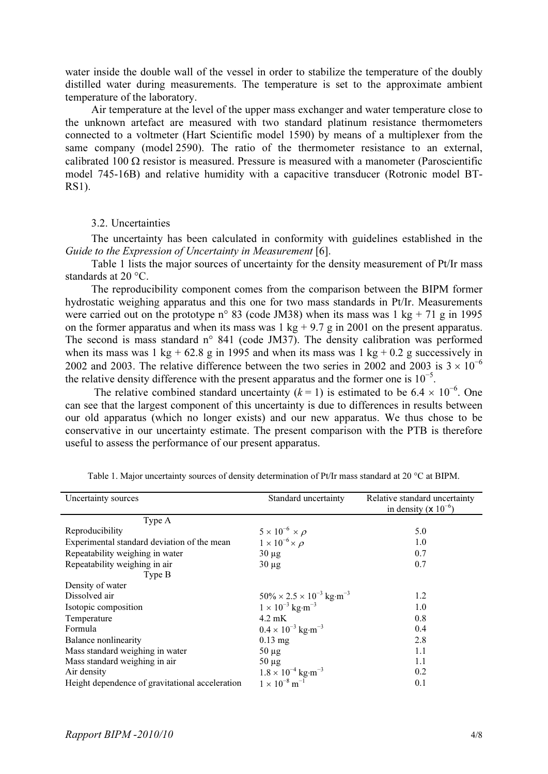water inside the double wall of the vessel in order to stabilize the temperature of the doubly distilled water during measurements. The temperature is set to the approximate ambient temperature of the laboratory.

Air temperature at the level of the upper mass exchanger and water temperature close to the unknown artefact are measured with two standard platinum resistance thermometers connected to a voltmeter (Hart Scientific model 1590) by means of a multiplexer from the same company (model 2590). The ratio of the thermometer resistance to an external, calibrated 100  $\Omega$  resistor is measured. Pressure is measured with a manometer (Paroscientific model 745-16B) and relative humidity with a capacitive transducer (Rotronic model BT-RS1).

## 3.2. Uncertainties

The uncertainty has been calculated in conformity with guidelines established in the Guide to the Expression of Uncertainty in Measurement [6].

Table 1 lists the major sources of uncertainty for the density measurement of Pt/Ir mass standards at 20 °C.

The reproducibility component comes from the comparison between the BIPM former hydrostatic weighing apparatus and this one for two mass standards in Pt/Ir. Measurements were carried out on the prototype n° 83 (code JM38) when its mass was 1 kg + 71 g in 1995 on the former apparatus and when its mass was  $1 \text{ kg} + 9.7 \text{ g}$  in 2001 on the present apparatus. The second is mass standard n° 841 (code JM37). The density calibration was performed when its mass was 1 kg + 62.8 g in 1995 and when its mass was 1 kg + 0.2 g successively in 2002 and 2003. The relative difference between the two series in 2002 and 2003 is  $3 \times 10^{-6}$ the relative density difference with the present apparatus and the former one is  $10^{-5}$ .

The relative combined standard uncertainty ( $k = 1$ ) is estimated to be 6.4 × 10<sup>-6</sup>. One can see that the largest component of this uncertainty is due to differences in results between our old apparatus (which no longer exists) and our new apparatus. We thus chose to be conservative in our uncertainty estimate. The present comparison with the PTB is therefore useful to assess the performance of our present apparatus.

| Uncertainty sources                             | Standard uncertainty                                | Relative standard uncertainty<br>in density ( $\times 10^{-6}$ ) |
|-------------------------------------------------|-----------------------------------------------------|------------------------------------------------------------------|
| Type A                                          |                                                     |                                                                  |
| Reproducibility                                 | $5 \times 10^{-6} \times \rho$                      | 5.0                                                              |
| Experimental standard deviation of the mean     | $1 \times 10^{-6} \times \rho$                      | 1.0                                                              |
| Repeatability weighing in water                 | $30 \mu g$                                          | 0.7                                                              |
| Repeatability weighing in air                   | $30 \mu g$                                          | 0.7                                                              |
| Type B                                          |                                                     |                                                                  |
| Density of water                                |                                                     |                                                                  |
| Dissolved air                                   | $50\% \times 2.5 \times 10^{-3}$ kg·m <sup>-3</sup> | 1.2                                                              |
| Isotopic composition                            | $1 \times 10^{-3}$ kg·m <sup>-3</sup>               | 1.0                                                              |
| Temperature                                     | $4.2 \text{ mK}$                                    | 0.8                                                              |
| Formula                                         | $0.4 \times 10^{-3}$ kg·m <sup>-3</sup>             | 0.4                                                              |
| <b>Balance nonlinearity</b>                     | $0.13$ mg                                           | 2.8                                                              |
| Mass standard weighing in water                 | $50 \mu g$                                          | 1.1                                                              |
| Mass standard weighing in air                   | $50 \mu g$                                          | 1.1                                                              |
| Air density                                     | $1.8 \times 10^{-4}$ kg·m <sup>-3</sup>             | 0.2                                                              |
| Height dependence of gravitational acceleration | $1 \times 10^{-8}$ m <sup>-1</sup>                  | 0.1                                                              |

Table 1. Major uncertainty sources of density determination of Pt/Ir mass standard at 20 °C at BIPM.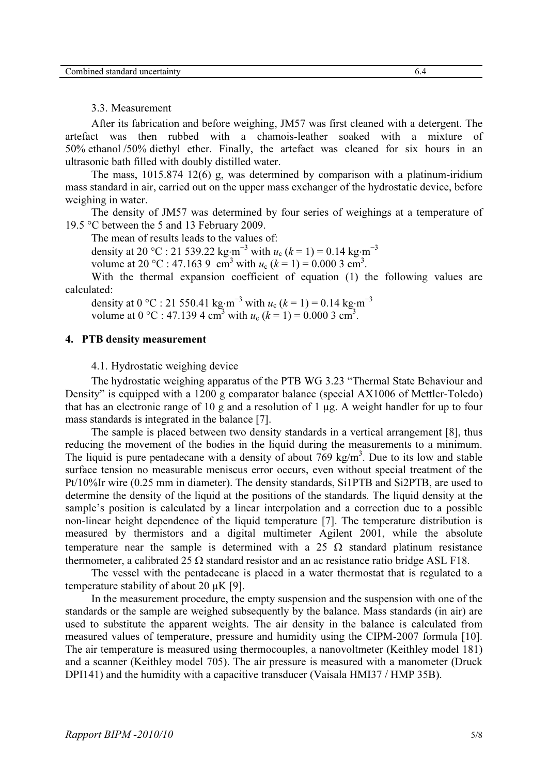3.3. Measurement

After its fabrication and before weighing, JM57 was first cleaned with a detergent. The artefact was then rubbed with a chamois-leather soaked with a mixture of 50% ethanol /50% diethyl ether. Finally, the artefact was cleaned for six hours in an ultrasonic bath filled with doubly distilled water.

The mass, 1015.874 12(6) g, was determined by comparison with a platinum-iridium mass standard in air, carried out on the upper mass exchanger of the hydrostatic device, before weighing in water.

The density of JM57 was determined by four series of weighings at a temperature of 19.5 °C between the 5 and 13 February 2009.

The mean of results leads to the values of:

density at 20 °C : 21 539.22 kg⋅m<sup>-3</sup> with  $u_c$  ( $k = 1$ ) = 0.14 kg⋅m<sup>-3</sup>

volume at 20 °C : 47.163 9 cm<sup>3</sup> with  $u_c$  ( $k = 1$ ) = 0.000 3 cm<sup>3</sup>.

With the thermal expansion coefficient of equation (1) the following values are calculated:

density at 0 °C : 21 550.41 kg⋅m<sup>-3</sup> with  $u_c$  ( $k = 1$ ) = 0.14 kg⋅m<sup>-3</sup> volume at 0 °C : 47.139 4 cm<sup>3</sup> with  $u_c$  ( $k = 1$ ) = 0.000 3 cm<sup>3</sup>.

#### 4. PTB density measurement

4.1. Hydrostatic weighing device

The hydrostatic weighing apparatus of the PTB WG 3.23 "Thermal State Behaviour and Density" is equipped with a 1200 g comparator balance (special AX1006 of Mettler-Toledo) that has an electronic range of 10 g and a resolution of 1 µg. A weight handler for up to four mass standards is integrated in the balance [7].

The sample is placed between two density standards in a vertical arrangement [8], thus reducing the movement of the bodies in the liquid during the measurements to a minimum. The liquid is pure pentadecane with a density of about  $769 \text{ kg/m}^3$ . Due to its low and stable surface tension no measurable meniscus error occurs, even without special treatment of the Pt/10%Ir wire (0.25 mm in diameter). The density standards, Si1PTB and Si2PTB, are used to determine the density of the liquid at the positions of the standards. The liquid density at the sample's position is calculated by a linear interpolation and a correction due to a possible non-linear height dependence of the liquid temperature [7]. The temperature distribution is measured by thermistors and a digital multimeter Agilent 2001, while the absolute temperature near the sample is determined with a 25  $\Omega$  standard platinum resistance thermometer, a calibrated 25  $\Omega$  standard resistor and an ac resistance ratio bridge ASL F18.

The vessel with the pentadecane is placed in a water thermostat that is regulated to a temperature stability of about 20  $\mu$ K [9].

In the measurement procedure, the empty suspension and the suspension with one of the standards or the sample are weighed subsequently by the balance. Mass standards (in air) are used to substitute the apparent weights. The air density in the balance is calculated from measured values of temperature, pressure and humidity using the CIPM-2007 formula [10]. The air temperature is measured using thermocouples, a nanovoltmeter (Keithley model 181) and a scanner (Keithley model 705). The air pressure is measured with a manometer (Druck DPI141) and the humidity with a capacitive transducer (Vaisala HMI37 / HMP 35B).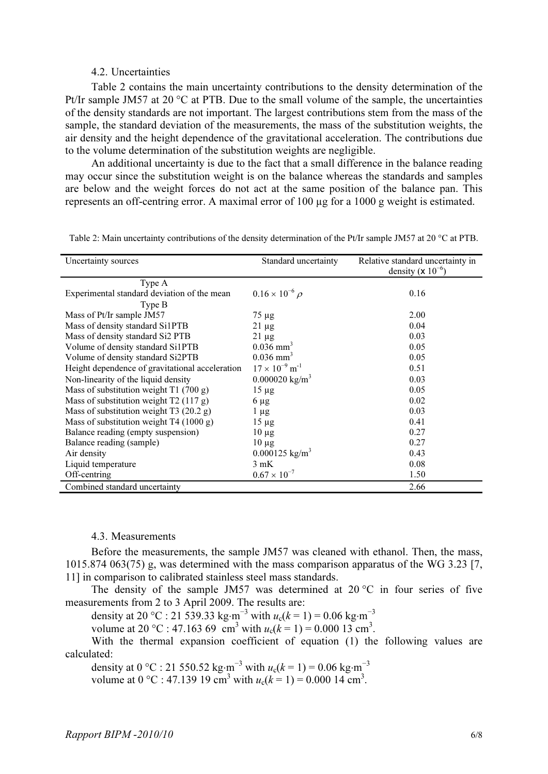#### 4.2. Uncertainties

Table 2 contains the main uncertainty contributions to the density determination of the Pt/Ir sample JM57 at 20 °C at PTB. Due to the small volume of the sample, the uncertainties of the density standards are not important. The largest contributions stem from the mass of the sample, the standard deviation of the measurements, the mass of the substitution weights, the air density and the height dependence of the gravitational acceleration. The contributions due to the volume determination of the substitution weights are negligible.

An additional uncertainty is due to the fact that a small difference in the balance reading may occur since the substitution weight is on the balance whereas the standards and samples are below and the weight forces do not act at the same position of the balance pan. This represents an off-centring error. A maximal error of 100 ug for a 1000 g weight is estimated.

| Uncertainty sources                             | Standard uncertainty                | Relative standard uncertainty in<br>density ( $\times 10^{-6}$ ) |
|-------------------------------------------------|-------------------------------------|------------------------------------------------------------------|
| Type A                                          |                                     |                                                                  |
| Experimental standard deviation of the mean     | $0.16 \times 10^{-6} \rho$          | 0.16                                                             |
| Type B                                          |                                     |                                                                  |
| Mass of Pt/Ir sample JM57                       | $75 \mu g$                          | 2.00                                                             |
| Mass of density standard Si1PTB                 | $21 \mu g$                          | 0.04                                                             |
| Mass of density standard Si2 PTB                | $21 \mu g$                          | 0.03                                                             |
| Volume of density standard Si1PTB               | $0.036$ mm <sup>3</sup>             | 0.05                                                             |
| Volume of density standard Si2PTB               | $0.036$ mm <sup>3</sup>             | 0.05                                                             |
| Height dependence of gravitational acceleration | $17 \times 10^{-9}$ m <sup>-1</sup> | 0.51                                                             |
| Non-linearity of the liquid density             | $0.000020 \text{ kg/m}^3$           | 0.03                                                             |
| Mass of substitution weight $T1(700 g)$         | $15 \mu g$                          | 0.05                                                             |
| Mass of substitution weight T2 (117 g)          | $6 \mu$ g                           | 0.02                                                             |
| Mass of substitution weight T3 $(20.2 g)$       | $1 \mu g$                           | 0.03                                                             |
| Mass of substitution weight $T4(1000 g)$        | $15 \mu$ g                          | 0.41                                                             |
| Balance reading (empty suspension)              | $10 \mu g$                          | 0.27                                                             |
| Balance reading (sample)                        | $10 \mu g$                          | 0.27                                                             |
| Air density                                     | $0.000125$ kg/m <sup>3</sup>        | 0.43                                                             |
| Liquid temperature                              | 3 mK                                | 0.08                                                             |
| Off-centring                                    | $0.67 \times 10^{-7}$               | 1.50                                                             |
| Combined standard uncertainty                   |                                     | 2.66                                                             |

Table 2: Main uncertainty contributions of the density determination of the Pt/Ir sample JM57 at 20 °C at PTB.

#### 4.3. Measurements

Before the measurements, the sample JM57 was cleaned with ethanol. Then, the mass, 1015.874 063(75) g, was determined with the mass comparison apparatus of the WG 3.23 [7, 11] in comparison to calibrated stainless steel mass standards.

The density of the sample JM57 was determined at  $20^{\circ}$ C in four series of five measurements from 2 to 3 April 2009. The results are:

density at 20 °C : 21 539.33 kg⋅m<sup>-3</sup> with  $u_c(k = 1) = 0.06$  kg⋅m<sup>-3</sup>

volume at 20 °C : 47.163 69 cm<sup>3</sup> with  $u_c(k = 1) = 0.00013$  cm<sup>3</sup>.

With the thermal expansion coefficient of equation (1) the following values are calculated:

density at 0 °C : 21 550.52 kg⋅m<sup>-3</sup> with  $u_c(k = 1) = 0.06$  kg⋅m<sup>-3</sup> volume at 0 °C : 47.139 19 cm<sup>3</sup> with  $u_c(k = 1) = 0.00014$  cm<sup>3</sup>.